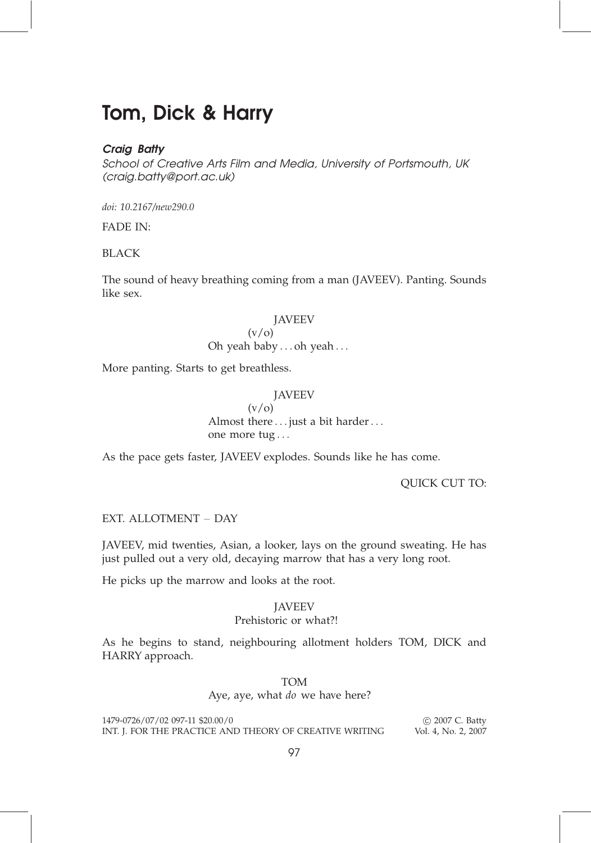#### Craig Batty

School of Creative Arts Film and Media, University of Portsmouth, UK (craig.batty@port.ac.uk)

doi: 10.2167/new290.0

FADE IN:

BLACK

The sound of heavy breathing coming from a man (JAVEEV). Panting. Sounds like sex.

## JAVEEV

# $\left(\frac{V}{Q}\right)$

Oh yeah baby ... oh yeah ...

More panting. Starts to get breathless.

## **JAVEEV**

 $(v/0)$ Almost there ... just a bit harder... one more tug ...

As the pace gets faster, JAVEEV explodes. Sounds like he has come.

QUICK CUT TO:

EXT. ALLOTMENT - DAY

JAVEEV, mid twenties, Asian, a looker, lays on the ground sweating. He has just pulled out a very old, decaying marrow that has a very long root.

He picks up the marrow and looks at the root.

## **JAVEEV**

#### Prehistoric or what?!

As he begins to stand, neighbouring allotment holders TOM, DICK and HARRY approach.

## TOM

Aye, aye, what do we have here?

1479-0726/07/02 097-11 \$20.00/0 – 2007 C. Batty INT. J. FOR THE PRACTICE AND THEORY OF CREATIVE WRITING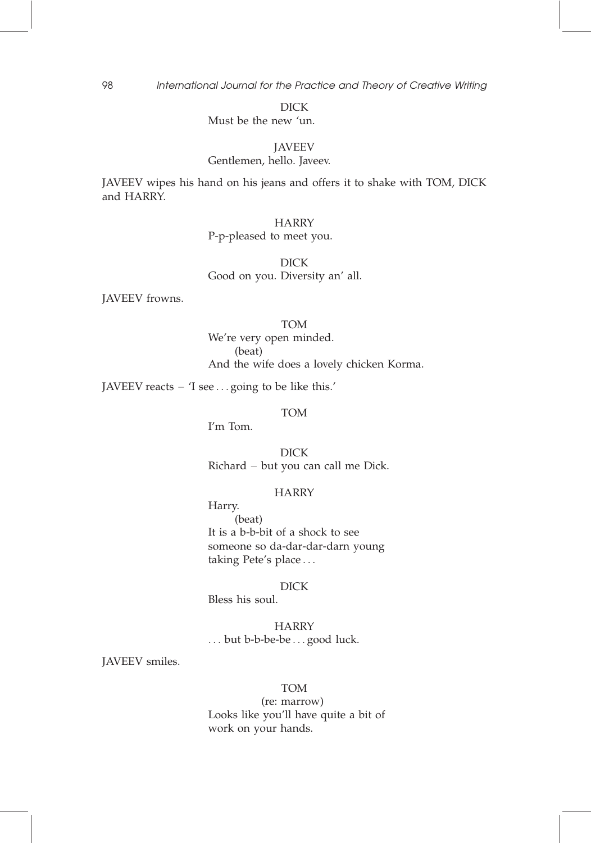DICK

Must be the new 'un.

## JAVEEV

## Gentlemen, hello. Javeev.

JAVEEV wipes his hand on his jeans and offers it to shake with TOM, DICK and HARRY.

#### **HARRY**

P-p-pleased to meet you.

DICK Good on you. Diversity an' all.

JAVEEV frowns.

#### TOM

We're very open minded. (beat) And the wife does a lovely chicken Korma.

JAVEEV reacts  $-$  'I see ... going to be like this.'

## TOM

I'm Tom.

DICK  $Richard - but you can call me Dick.$ 

## **HARRY**

Harry. (beat) It is a b-b-bit of a shock to see someone so da-dar-dar-darn young taking Pete's place ...

## DICK

Bless his soul.

**HARRY** ... but b-b-be-be ... good luck.

JAVEEV smiles.

## TOM

(re: marrow) Looks like you'll have quite a bit of work on your hands.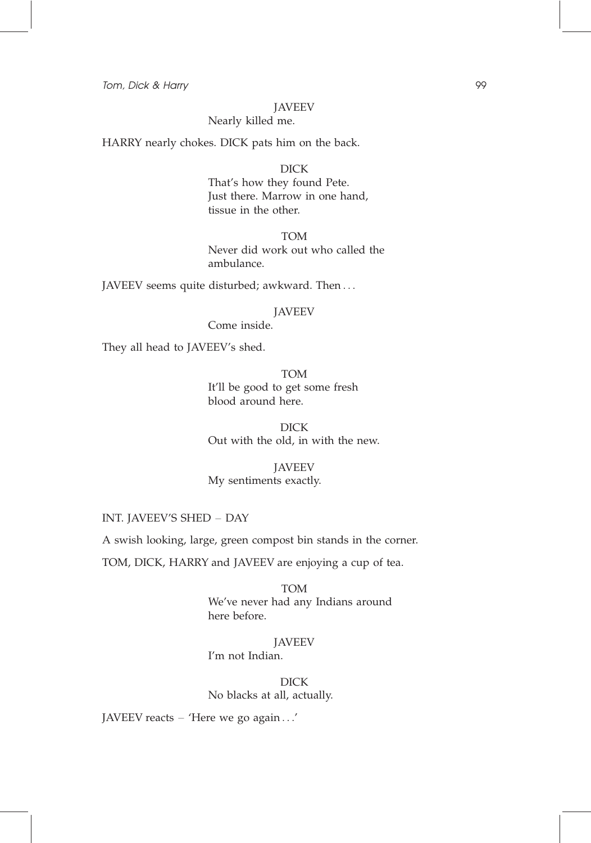#### JAVEEV

Nearly killed me.

HARRY nearly chokes. DICK pats him on the back.

**DICK** 

That's how they found Pete. Just there. Marrow in one hand, tissue in the other.

TOM Never did work out who called the ambulance.

JAVEEV seems quite disturbed; awkward. Then ...

#### JAVEEV

Come inside.

They all head to JAVEEV's shed.

TOM It'll be good to get some fresh blood around here.

DICK Out with the old, in with the new.

## JAVEEV My sentiments exactly.

INT. JAVEEV'S SHED - DAY

A swish looking, large, green compost bin stands in the corner.

TOM, DICK, HARRY and JAVEEV are enjoying a cup of tea.

TOM We've never had any Indians around here before.

## **JAVEEV** I'm not Indian.

DICK No blacks at all, actually.

JAVEEV reacts - 'Here we go again ...'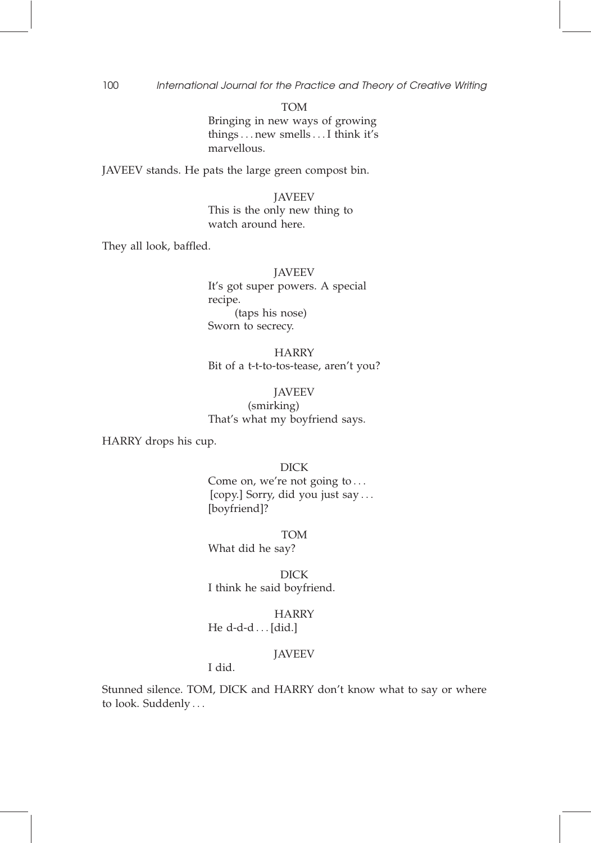TOM

Bringing in new ways of growing things ... new smells ... I think it's marvellous.

JAVEEV stands. He pats the large green compost bin.

**JAVEEV** This is the only new thing to watch around here.

They all look, baffled.

**JAVEEV** 

It's got super powers. A special recipe. (taps his nose) Sworn to secrecy.

**HARRY** Bit of a t-t-to-tos-tease, aren't you?

**JAVEEV** (smirking) That's what my boyfriend says.

HARRY drops his cup.

DICK Come on, we're not going to ... [copy.] Sorry, did you just say ... [boyfriend]?

TOM What did he say?

DICK I think he said boyfriend.

**HARRY** He d-d-d ... [did.]

## JAVEEV

# I did.

Stunned silence. TOM, DICK and HARRY don't know what to say or where to look. Suddenly ...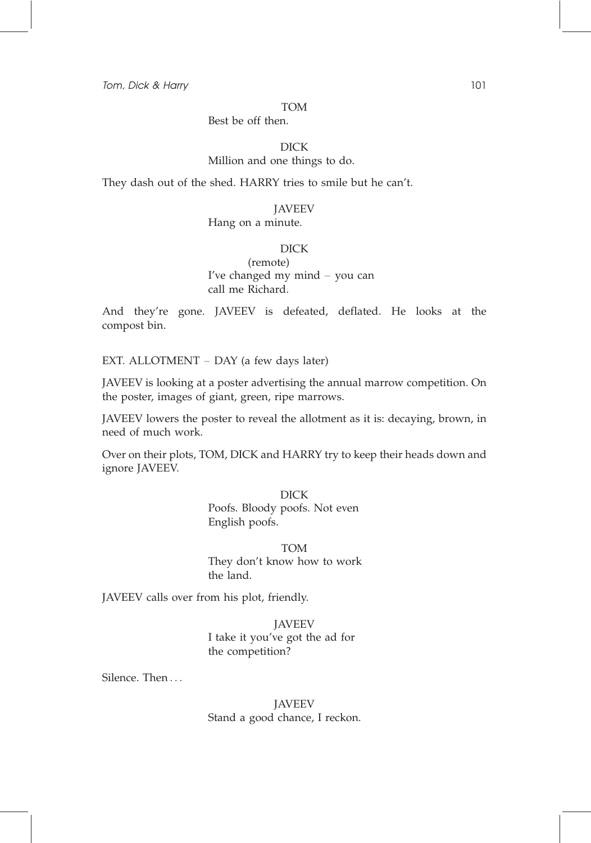#### TOM

Best be off then.

## DICK

## Million and one things to do.

They dash out of the shed. HARRY tries to smile but he can't.

## **JAVEEV**

## Hang on a minute.

## DICK

(remote) I've changed my mind  $-$  you can call me Richard.

And they're gone. JAVEEV is defeated, deflated. He looks at the compost bin.

EXT. ALLOTMENT - DAY (a few days later)

JAVEEV is looking at a poster advertising the annual marrow competition. On the poster, images of giant, green, ripe marrows.

JAVEEV lowers the poster to reveal the allotment as it is: decaying, brown, in need of much work.

Over on their plots, TOM, DICK and HARRY try to keep their heads down and ignore JAVEEV.

> DICK Poofs. Bloody poofs. Not even English poofs.

TOM They don't know how to work the land.

JAVEEV calls over from his plot, friendly.

JAVEEV I take it you've got the ad for the competition?

Silence. Then ...

JAVEEV Stand a good chance, I reckon.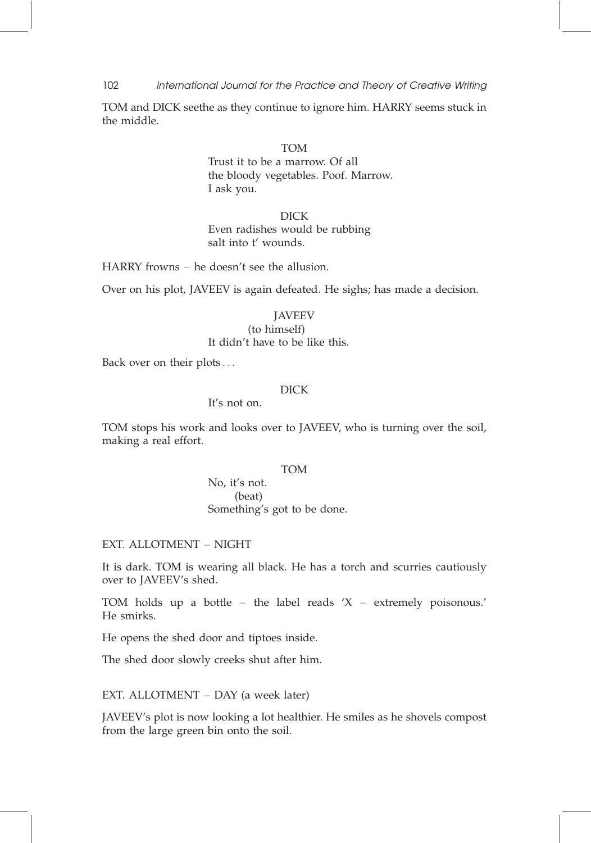TOM and DICK seethe as they continue to ignore him. HARRY seems stuck in the middle.

## TOM

Trust it to be a marrow. Of all the bloody vegetables. Poof. Marrow. I ask you.

DICK Even radishes would be rubbing salt into t' wounds.

HARRY frowns  $-$  he doesn't see the allusion.

Over on his plot, JAVEEV is again defeated. He sighs; has made a decision.

#### **JAVEEV**

(to himself)

It didn't have to be like this.

Back over on their plots ...

## DICK

It's not on.

TOM stops his work and looks over to JAVEEV, who is turning over the soil, making a real effort.

#### TOM

No, it's not. (beat) Something's got to be done.

## EXT. ALLOTMENT - NIGHT

It is dark. TOM is wearing all black. He has a torch and scurries cautiously over to JAVEEV's shed.

TOM holds up a bottle – the label reads  $'X$  – extremely poisonous.' He smirks.

He opens the shed door and tiptoes inside.

The shed door slowly creeks shut after him.

EXT. ALLOTMENT - DAY (a week later)

JAVEEV's plot is now looking a lot healthier. He smiles as he shovels compost from the large green bin onto the soil.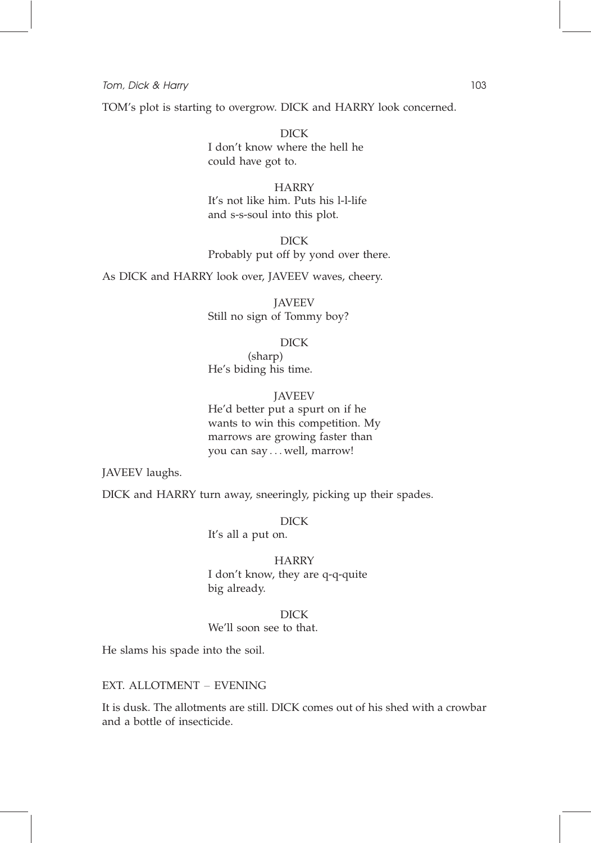TOM's plot is starting to overgrow. DICK and HARRY look concerned.

DICK I don't know where the hell he could have got to.

**HARRY** 

It's not like him. Puts his l-l-life and s-s-soul into this plot.

DICK Probably put off by yond over there.

As DICK and HARRY look over, JAVEEV waves, cheery.

**JAVEEV** Still no sign of Tommy boy?

#### DICK

(sharp) He's biding his time.

#### JAVEEV

He'd better put a spurt on if he wants to win this competition. My marrows are growing faster than you can say ... well, marrow!

JAVEEV laughs.

DICK and HARRY turn away, sneeringly, picking up their spades.

DICK It's all a put on.

**HARRY** I don't know, they are q-q-quite big already.

#### DICK

We'll soon see to that.

He slams his spade into the soil.

EXT. ALLOTMENT - EVENING

It is dusk. The allotments are still. DICK comes out of his shed with a crowbar and a bottle of insecticide.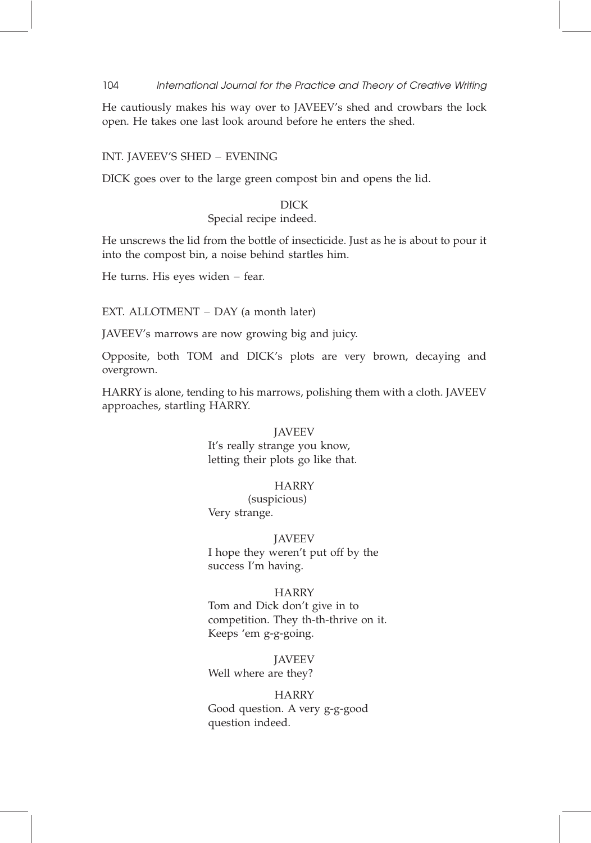He cautiously makes his way over to JAVEEV's shed and crowbars the lock open. He takes one last look around before he enters the shed.

#### INT. JAVEEV'S SHED - EVENING

DICK goes over to the large green compost bin and opens the lid.

## DICK

Special recipe indeed.

He unscrews the lid from the bottle of insecticide. Just as he is about to pour it into the compost bin, a noise behind startles him.

He turns. His eyes widen  $-$  fear.

EXT. ALLOTMENT  $-$  DAY (a month later)

JAVEEV's marrows are now growing big and juicy.

Opposite, both TOM and DICK's plots are very brown, decaying and overgrown.

HARRY is alone, tending to his marrows, polishing them with a cloth. JAVEEV approaches, startling HARRY.

# **JAVEEV** It's really strange you know, letting their plots go like that.

#### **HARRY**

(suspicious) Very strange.

**JAVEEV** I hope they weren't put off by the success I'm having.

#### **HARRY**

Tom and Dick don't give in to competition. They th-th-thrive on it. Keeps 'em g-g-going.

**JAVEEV** Well where are they?

**HARRY** Good question. A very g-g-good question indeed.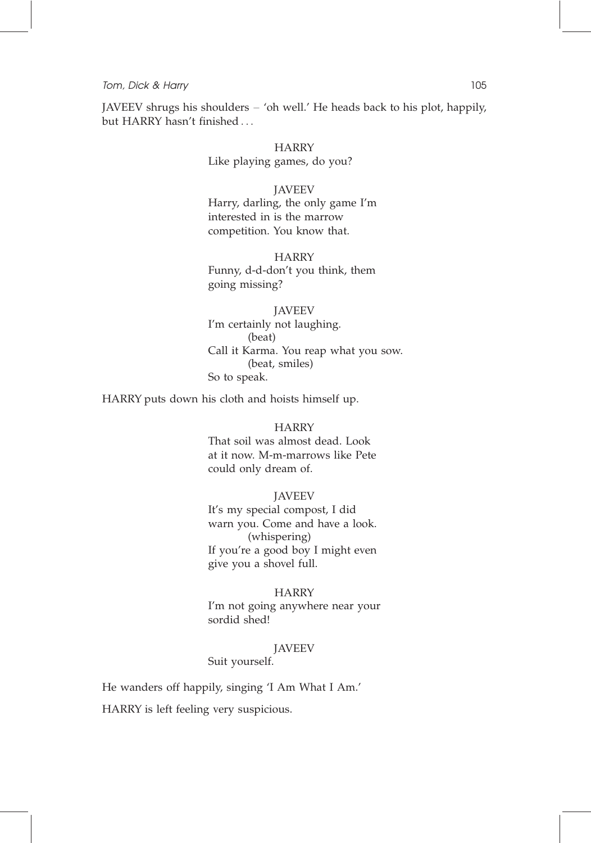JAVEEV shrugs his shoulders - 'oh well.' He heads back to his plot, happily, but HARRY hasn't finished ...

## **HARRY** Like playing games, do you?

## **JAVEEV** Harry, darling, the only game I'm interested in is the marrow competition. You know that.

**HARRY** Funny, d-d-don't you think, them going missing?

JAVEEV I'm certainly not laughing. (beat) Call it Karma. You reap what you sow. (beat, smiles) So to speak.

HARRY puts down his cloth and hoists himself up.

## **HARRY**

That soil was almost dead. Look at it now. M-m-marrows like Pete could only dream of.

#### JAVEEV

It's my special compost, I did warn you. Come and have a look. (whispering) If you're a good boy I might even give you a shovel full.

#### **HARRY**

I'm not going anywhere near your sordid shed!

#### **JAVEEV**

Suit yourself.

He wanders off happily, singing 'I Am What I Am.'

HARRY is left feeling very suspicious.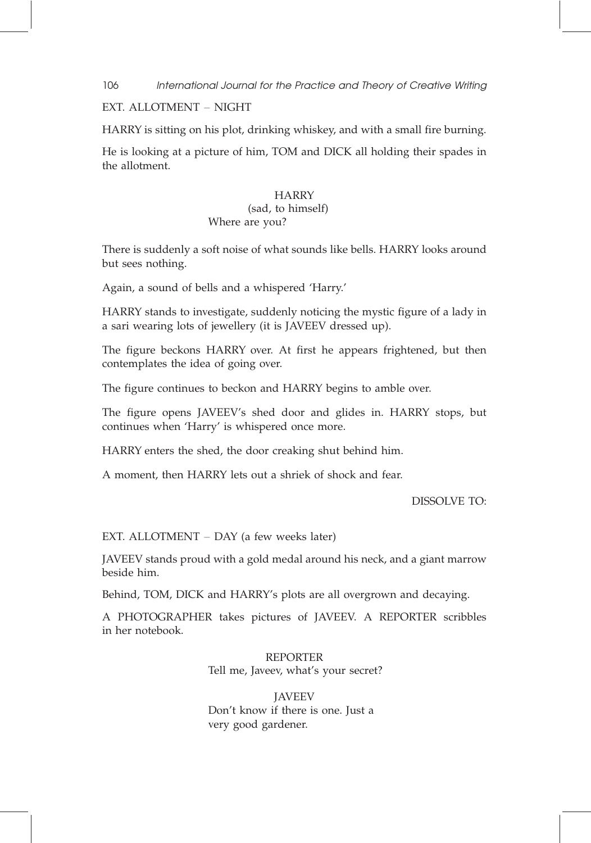EXT. ALLOTMENT - NIGHT

HARRY is sitting on his plot, drinking whiskey, and with a small fire burning.

He is looking at a picture of him, TOM and DICK all holding their spades in the allotment.

## **HARRY**

#### (sad, to himself) Where are you?

There is suddenly a soft noise of what sounds like bells. HARRY looks around but sees nothing.

Again, a sound of bells and a whispered 'Harry.'

HARRY stands to investigate, suddenly noticing the mystic figure of a lady in a sari wearing lots of jewellery (it is JAVEEV dressed up).

The figure beckons HARRY over. At first he appears frightened, but then contemplates the idea of going over.

The figure continues to beckon and HARRY begins to amble over.

The figure opens JAVEEV's shed door and glides in. HARRY stops, but continues when 'Harry' is whispered once more.

HARRY enters the shed, the door creaking shut behind him.

A moment, then HARRY lets out a shriek of shock and fear.

DISSOLVE TO:

EXT. ALLOTMENT  $-$  DAY (a few weeks later)

JAVEEV stands proud with a gold medal around his neck, and a giant marrow beside him.

Behind, TOM, DICK and HARRY's plots are all overgrown and decaying.

A PHOTOGRAPHER takes pictures of JAVEEV. A REPORTER scribbles in her notebook.

> REPORTER Tell me, Javeev, what's your secret?

**JAVEEV** Don't know if there is one. Just a very good gardener.